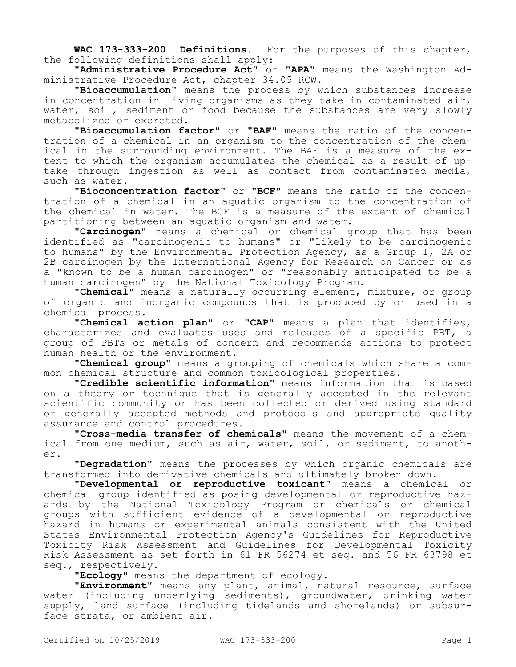**WAC 173-333-200 Definitions.** For the purposes of this chapter, the following definitions shall apply:

**"Administrative Procedure Act"** or **"APA"** means the Washington Administrative Procedure Act, chapter 34.05 RCW.

**"Bioaccumulation"** means the process by which substances increase in concentration in living organisms as they take in contaminated air, water, soil, sediment or food because the substances are very slowly metabolized or excreted.

**"Bioaccumulation factor"** or **"BAF"** means the ratio of the concentration of a chemical in an organism to the concentration of the chemical in the surrounding environment. The BAF is a measure of the extent to which the organism accumulates the chemical as a result of uptake through ingestion as well as contact from contaminated media, such as water.

**"Bioconcentration factor"** or **"BCF"** means the ratio of the concentration of a chemical in an aquatic organism to the concentration of the chemical in water. The BCF is a measure of the extent of chemical partitioning between an aquatic organism and water.

**"Carcinogen"** means a chemical or chemical group that has been identified as "carcinogenic to humans" or "likely to be carcinogenic to humans" by the Environmental Protection Agency, as a Group 1, 2A or 2B carcinogen by the International Agency for Research on Cancer or as a "known to be a human carcinogen" or "reasonably anticipated to be a human carcinogen" by the National Toxicology Program.

**"Chemical"** means a naturally occurring element, mixture, or group of organic and inorganic compounds that is produced by or used in a chemical process.

**"Chemical action plan"** or **"CAP"** means a plan that identifies, characterizes and evaluates uses and releases of a specific PBT, a group of PBTs or metals of concern and recommends actions to protect human health or the environment.

**"Chemical group"** means a grouping of chemicals which share a common chemical structure and common toxicological properties.

**"Credible scientific information"** means information that is based on a theory or technique that is generally accepted in the relevant scientific community or has been collected or derived using standard or generally accepted methods and protocols and appropriate quality assurance and control procedures.

**"Cross-media transfer of chemicals"** means the movement of a chemical from one medium, such as air, water, soil, or sediment, to another.

**"Degradation"** means the processes by which organic chemicals are transformed into derivative chemicals and ultimately broken down.

**"Developmental or reproductive toxicant"** means a chemical or chemical group identified as posing developmental or reproductive hazards by the National Toxicology Program or chemicals or chemical groups with sufficient evidence of a developmental or reproductive hazard in humans or experimental animals consistent with the United States Environmental Protection Agency's Guidelines for Reproductive Toxicity Risk Assessment and Guidelines for Developmental Toxicity Risk Assessment as set forth in 61 FR 56274 et seq. and 56 FR 63798 et seq., respectively.

**"Ecology"** means the department of ecology.

**"Environment"** means any plant, animal, natural resource, surface water (including underlying sediments), groundwater, drinking water supply, land surface (including tidelands and shorelands) or subsurface strata, or ambient air.